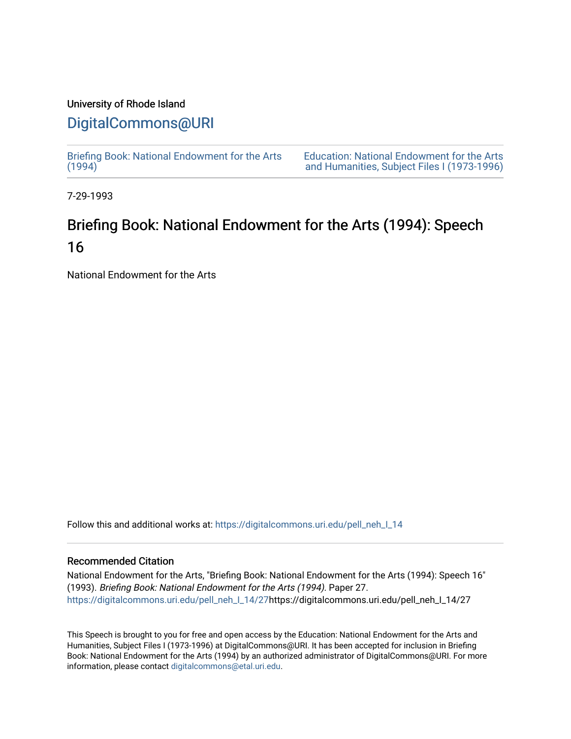# University of Rhode Island

## [DigitalCommons@URI](https://digitalcommons.uri.edu/)

[Briefing Book: National Endowment for the Arts](https://digitalcommons.uri.edu/pell_neh_I_14)  $(1994)$ 

[Education: National Endowment for the Arts](https://digitalcommons.uri.edu/pell_neh_I)  [and Humanities, Subject Files I \(1973-1996\)](https://digitalcommons.uri.edu/pell_neh_I) 

7-29-1993

# Briefing Book: National Endowment for the Arts (1994): Speech 16

National Endowment for the Arts

Follow this and additional works at: [https://digitalcommons.uri.edu/pell\\_neh\\_I\\_14](https://digitalcommons.uri.edu/pell_neh_I_14?utm_source=digitalcommons.uri.edu%2Fpell_neh_I_14%2F27&utm_medium=PDF&utm_campaign=PDFCoverPages) 

## Recommended Citation

National Endowment for the Arts, "Briefing Book: National Endowment for the Arts (1994): Speech 16" (1993). Briefing Book: National Endowment for the Arts (1994). Paper 27. [https://digitalcommons.uri.edu/pell\\_neh\\_I\\_14/27h](https://digitalcommons.uri.edu/pell_neh_I_14/27?utm_source=digitalcommons.uri.edu%2Fpell_neh_I_14%2F27&utm_medium=PDF&utm_campaign=PDFCoverPages)ttps://digitalcommons.uri.edu/pell\_neh\_I\_14/27

This Speech is brought to you for free and open access by the Education: National Endowment for the Arts and Humanities, Subject Files I (1973-1996) at DigitalCommons@URI. It has been accepted for inclusion in Briefing Book: National Endowment for the Arts (1994) by an authorized administrator of DigitalCommons@URI. For more information, please contact [digitalcommons@etal.uri.edu.](mailto:digitalcommons@etal.uri.edu)